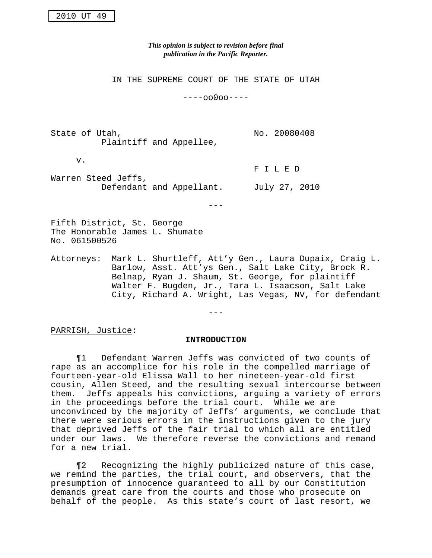*This opinion is subject to revision before final publication in the Pacific Reporter.*

IN THE SUPREME COURT OF THE STATE OF UTAH

----oo0oo----

State of Utah, No. 20080408 Plaintiff and Appellee,

v.

F I L E D Warren Steed Jeffs, Defendant and Appellant. July 27, 2010

---

Fifth District, St. George The Honorable James L. Shumate No. 061500526

Attorneys: Mark L. Shurtleff, Att'y Gen., Laura Dupaix, Craig L. Barlow, Asst. Att'ys Gen., Salt Lake City, Brock R. Belnap, Ryan J. Shaum, St. George, for plaintiff Walter F. Bugden, Jr., Tara L. Isaacson, Salt Lake City, Richard A. Wright, Las Vegas, NV, for defendant

---

PARRISH, Justice:

### **INTRODUCTION**

¶1 Defendant Warren Jeffs was convicted of two counts of rape as an accomplice for his role in the compelled marriage of fourteen-year-old Elissa Wall to her nineteen-year-old first cousin, Allen Steed, and the resulting sexual intercourse between them. Jeffs appeals his convictions, arguing a variety of errors in the proceedings before the trial court. While we are unconvinced by the majority of Jeffs' arguments, we conclude that there were serious errors in the instructions given to the jury that deprived Jeffs of the fair trial to which all are entitled under our laws. We therefore reverse the convictions and remand for a new trial.

¶2 Recognizing the highly publicized nature of this case, we remind the parties, the trial court, and observers, that the presumption of innocence guaranteed to all by our Constitution demands great care from the courts and those who prosecute on behalf of the people. As this state's court of last resort, we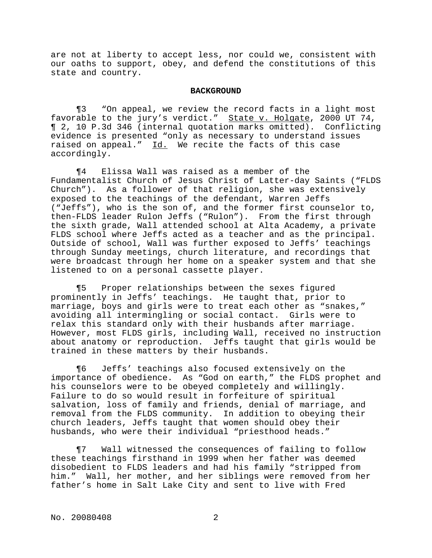are not at liberty to accept less, nor could we, consistent with our oaths to support, obey, and defend the constitutions of this state and country.

### **BACKGROUND**

¶3 "On appeal, we review the record facts in a light most favorable to the jury's verdict." State v. Holgate, 2000 UT 74, ¶ 2, 10 P.3d 346 (internal quotation marks omitted). Conflicting evidence is presented "only as necessary to understand issues raised on appeal." Id. We recite the facts of this case accordingly.

¶4 Elissa Wall was raised as a member of the Fundamentalist Church of Jesus Christ of Latter-day Saints ("FLDS Church"). As a follower of that religion, she was extensively exposed to the teachings of the defendant, Warren Jeffs ("Jeffs"), who is the son of, and the former first counselor to, then-FLDS leader Rulon Jeffs ("Rulon"). From the first through the sixth grade, Wall attended school at Alta Academy, a private FLDS school where Jeffs acted as a teacher and as the principal. Outside of school, Wall was further exposed to Jeffs' teachings through Sunday meetings, church literature, and recordings that were broadcast through her home on a speaker system and that she listened to on a personal cassette player.

¶5 Proper relationships between the sexes figured prominently in Jeffs' teachings. He taught that, prior to marriage, boys and girls were to treat each other as "snakes," avoiding all intermingling or social contact. Girls were to relax this standard only with their husbands after marriage. However, most FLDS girls, including Wall, received no instruction about anatomy or reproduction. Jeffs taught that girls would be trained in these matters by their husbands.

¶6 Jeffs' teachings also focused extensively on the importance of obedience. As "God on earth," the FLDS prophet and his counselors were to be obeyed completely and willingly. Failure to do so would result in forfeiture of spiritual salvation, loss of family and friends, denial of marriage, and removal from the FLDS community. In addition to obeying their church leaders, Jeffs taught that women should obey their husbands, who were their individual "priesthood heads."

¶7 Wall witnessed the consequences of failing to follow these teachings firsthand in 1999 when her father was deemed disobedient to FLDS leaders and had his family "stripped from him." Wall, her mother, and her siblings were removed from her father's home in Salt Lake City and sent to live with Fred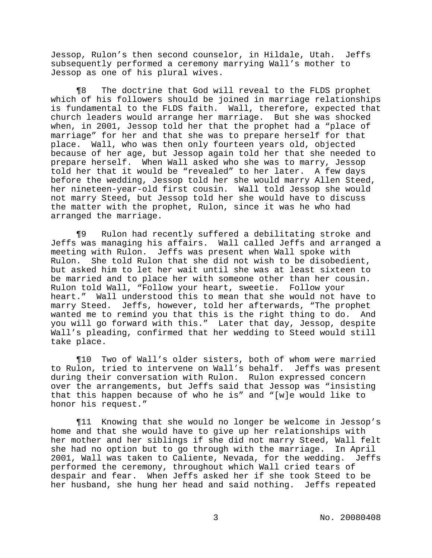Jessop, Rulon's then second counselor, in Hildale, Utah. Jeffs subsequently performed a ceremony marrying Wall's mother to Jessop as one of his plural wives.

¶8 The doctrine that God will reveal to the FLDS prophet which of his followers should be joined in marriage relationships is fundamental to the FLDS faith. Wall, therefore, expected that church leaders would arrange her marriage. But she was shocked when, in 2001, Jessop told her that the prophet had a "place of marriage" for her and that she was to prepare herself for that place. Wall, who was then only fourteen years old, objected because of her age, but Jessop again told her that she needed to prepare herself. When Wall asked who she was to marry, Jessop told her that it would be "revealed" to her later. A few days before the wedding, Jessop told her she would marry Allen Steed, her nineteen-year-old first cousin. Wall told Jessop she would not marry Steed, but Jessop told her she would have to discuss the matter with the prophet, Rulon, since it was he who had arranged the marriage.

¶9 Rulon had recently suffered a debilitating stroke and Jeffs was managing his affairs. Wall called Jeffs and arranged a meeting with Rulon. Jeffs was present when Wall spoke with Rulon. She told Rulon that she did not wish to be disobedient, but asked him to let her wait until she was at least sixteen to be married and to place her with someone other than her cousin. Rulon told Wall, "Follow your heart, sweetie. Follow your heart." Wall understood this to mean that she would not have to marry Steed. Jeffs, however, told her afterwards, "The prophet wanted me to remind you that this is the right thing to do. And you will go forward with this." Later that day, Jessop, despite Wall's pleading, confirmed that her wedding to Steed would still take place.

¶10 Two of Wall's older sisters, both of whom were married to Rulon, tried to intervene on Wall's behalf. Jeffs was present during their conversation with Rulon. Rulon expressed concern over the arrangements, but Jeffs said that Jessop was "insisting that this happen because of who he is" and "[w]e would like to honor his request."

¶11 Knowing that she would no longer be welcome in Jessop's home and that she would have to give up her relationships with her mother and her siblings if she did not marry Steed, Wall felt she had no option but to go through with the marriage. In April 2001, Wall was taken to Caliente, Nevada, for the wedding. Jeffs performed the ceremony, throughout which Wall cried tears of despair and fear. When Jeffs asked her if she took Steed to be her husband, she hung her head and said nothing. Jeffs repeated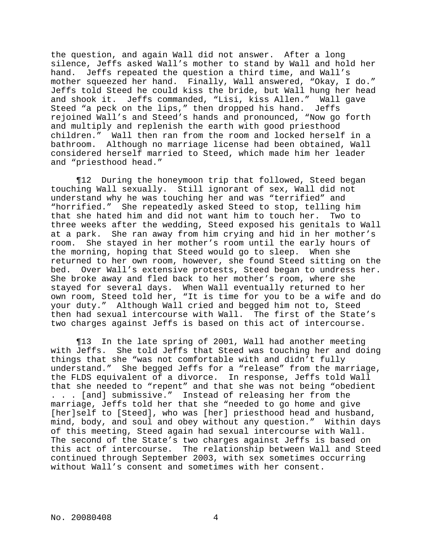the question, and again Wall did not answer. After a long silence, Jeffs asked Wall's mother to stand by Wall and hold her hand. Jeffs repeated the question a third time, and Wall's mother squeezed her hand. Finally, Wall answered, "Okay, I do." Jeffs told Steed he could kiss the bride, but Wall hung her head and shook it. Jeffs commanded, "Lisi, kiss Allen." Wall gave Steed "a peck on the lips," then dropped his hand. Jeffs rejoined Wall's and Steed's hands and pronounced, "Now go forth and multiply and replenish the earth with good priesthood children." Wall then ran from the room and locked herself in a bathroom. Although no marriage license had been obtained, Wall considered herself married to Steed, which made him her leader and "priesthood head."

¶12 During the honeymoon trip that followed, Steed began touching Wall sexually. Still ignorant of sex, Wall did not understand why he was touching her and was "terrified" and "horrified." She repeatedly asked Steed to stop, telling him that she hated him and did not want him to touch her. Two to three weeks after the wedding, Steed exposed his genitals to Wall at a park. She ran away from him crying and hid in her mother's room. She stayed in her mother's room until the early hours of the morning, hoping that Steed would go to sleep. When she returned to her own room, however, she found Steed sitting on the bed. Over Wall's extensive protests, Steed began to undress her. She broke away and fled back to her mother's room, where she stayed for several days. When Wall eventually returned to her own room, Steed told her, "It is time for you to be a wife and do your duty." Although Wall cried and begged him not to, Steed then had sexual intercourse with Wall. The first of the State's two charges against Jeffs is based on this act of intercourse.

¶13 In the late spring of 2001, Wall had another meeting with Jeffs. She told Jeffs that Steed was touching her and doing things that she "was not comfortable with and didn't fully understand." She begged Jeffs for a "release" from the marriage, the FLDS equivalent of a divorce. In response, Jeffs told Wall that she needed to "repent" and that she was not being "obedient . . . [and] submissive." Instead of releasing her from the marriage, Jeffs told her that she "needed to go home and give [her]self to [Steed], who was [her] priesthood head and husband, mind, body, and soul and obey without any question." Within days of this meeting, Steed again had sexual intercourse with Wall. The second of the State's two charges against Jeffs is based on this act of intercourse. The relationship between Wall and Steed continued through September 2003, with sex sometimes occurring without Wall's consent and sometimes with her consent.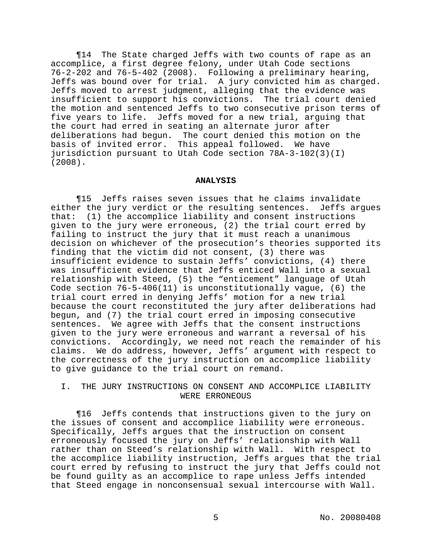¶14 The State charged Jeffs with two counts of rape as an accomplice, a first degree felony, under Utah Code sections 76-2-202 and 76-5-402 (2008). Following a preliminary hearing, Jeffs was bound over for trial. A jury convicted him as charged. Jeffs moved to arrest judgment, alleging that the evidence was insufficient to support his convictions. The trial court denied the motion and sentenced Jeffs to two consecutive prison terms of five years to life. Jeffs moved for a new trial, arguing that the court had erred in seating an alternate juror after deliberations had begun. The court denied this motion on the basis of invited error. This appeal followed. We have jurisdiction pursuant to Utah Code section 78A-3-102(3)(I) (2008).

#### **ANALYSIS**

¶15 Jeffs raises seven issues that he claims invalidate either the jury verdict or the resulting sentences. Jeffs argues that: (1) the accomplice liability and consent instructions given to the jury were erroneous, (2) the trial court erred by failing to instruct the jury that it must reach a unanimous decision on whichever of the prosecution's theories supported its finding that the victim did not consent, (3) there was insufficient evidence to sustain Jeffs' convictions, (4) there was insufficient evidence that Jeffs enticed Wall into a sexual relationship with Steed, (5) the "enticement" language of Utah Code section 76-5-406(11) is unconstitutionally vague, (6) the trial court erred in denying Jeffs' motion for a new trial because the court reconstituted the jury after deliberations had begun, and (7) the trial court erred in imposing consecutive sentences. We agree with Jeffs that the consent instructions given to the jury were erroneous and warrant a reversal of his convictions. Accordingly, we need not reach the remainder of his claims. We do address, however, Jeffs' argument with respect to the correctness of the jury instruction on accomplice liability to give guidance to the trial court on remand.

# I. THE JURY INSTRUCTIONS ON CONSENT AND ACCOMPLICE LIABILITY WERE ERRONEOUS

¶16 Jeffs contends that instructions given to the jury on the issues of consent and accomplice liability were erroneous. Specifically, Jeffs argues that the instruction on consent erroneously focused the jury on Jeffs' relationship with Wall rather than on Steed's relationship with Wall. With respect to the accomplice liability instruction, Jeffs argues that the trial court erred by refusing to instruct the jury that Jeffs could not be found guilty as an accomplice to rape unless Jeffs intended that Steed engage in nonconsensual sexual intercourse with Wall.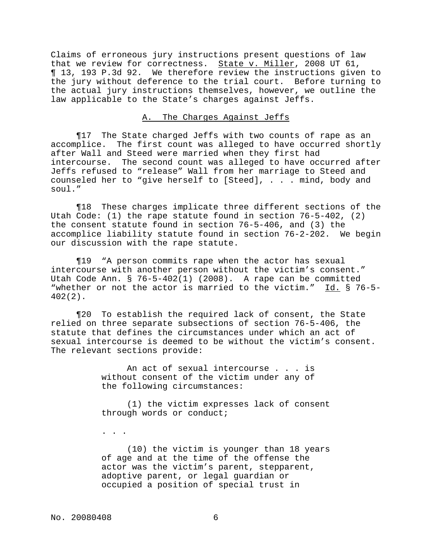Claims of erroneous jury instructions present questions of law that we review for correctness. State v. Miller, 2008 UT 61, ¶ 13, 193 P.3d 92. We therefore review the instructions given to the jury without deference to the trial court. Before turning to the actual jury instructions themselves, however, we outline the law applicable to the State's charges against Jeffs.

# A. The Charges Against Jeffs

¶17 The State charged Jeffs with two counts of rape as an accomplice. The first count was alleged to have occurred shortly after Wall and Steed were married when they first had intercourse. The second count was alleged to have occurred after Jeffs refused to "release" Wall from her marriage to Steed and counseled her to "give herself to [Steed], . . . mind, body and soul."

¶18 These charges implicate three different sections of the Utah Code: (1) the rape statute found in section 76-5-402, (2) the consent statute found in section 76-5-406, and (3) the accomplice liability statute found in section 76-2-202. We begin our discussion with the rape statute.

¶19 "A person commits rape when the actor has sexual intercourse with another person without the victim's consent." Utah Code Ann. § 76-5-402(1) (2008). A rape can be committed "whether or not the actor is married to the victim." Id. § 76-5- 402(2).

¶20 To establish the required lack of consent, the State relied on three separate subsections of section 76-5-406, the statute that defines the circumstances under which an act of sexual intercourse is deemed to be without the victim's consent. The relevant sections provide:

> An act of sexual intercourse . . . is without consent of the victim under any of the following circumstances:

(1) the victim expresses lack of consent through words or conduct;

. . .

(10) the victim is younger than 18 years of age and at the time of the offense the actor was the victim's parent, stepparent, adoptive parent, or legal guardian or occupied a position of special trust in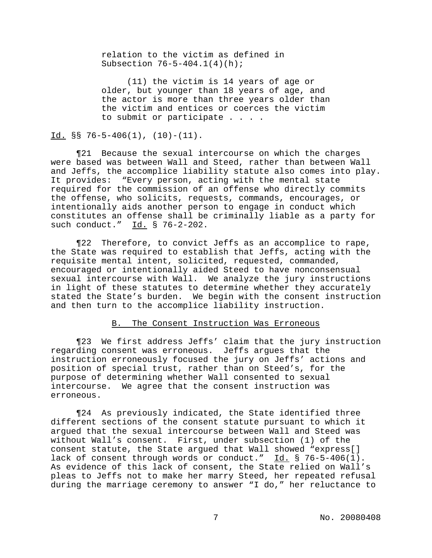relation to the victim as defined in Subsection 76-5-404.1(4)(h);

(11) the victim is 14 years of age or older, but younger than 18 years of age, and the actor is more than three years older than the victim and entices or coerces the victim to submit or participate . . . .

Id.  $\S$ S 76-5-406(1), (10)-(11).

¶21 Because the sexual intercourse on which the charges were based was between Wall and Steed, rather than between Wall and Jeffs, the accomplice liability statute also comes into play. It provides: "Every person, acting with the mental state required for the commission of an offense who directly commits the offense, who solicits, requests, commands, encourages, or intentionally aids another person to engage in conduct which constitutes an offense shall be criminally liable as a party for such conduct." Id. § 76-2-202.

¶22 Therefore, to convict Jeffs as an accomplice to rape, the State was required to establish that Jeffs, acting with the requisite mental intent, solicited, requested, commanded, encouraged or intentionally aided Steed to have nonconsensual sexual intercourse with Wall. We analyze the jury instructions in light of these statutes to determine whether they accurately stated the State's burden. We begin with the consent instruction and then turn to the accomplice liability instruction.

### B. The Consent Instruction Was Erroneous

¶23 We first address Jeffs' claim that the jury instruction regarding consent was erroneous. Jeffs argues that the instruction erroneously focused the jury on Jeffs' actions and position of special trust, rather than on Steed's, for the purpose of determining whether Wall consented to sexual intercourse. We agree that the consent instruction was erroneous.

¶24 As previously indicated, the State identified three different sections of the consent statute pursuant to which it argued that the sexual intercourse between Wall and Steed was without Wall's consent. First, under subsection (1) of the consent statute, the State argued that Wall showed "express[] lack of consent through words or conduct." Id. § 76-5-406(1). As evidence of this lack of consent, the State relied on Wall's pleas to Jeffs not to make her marry Steed, her repeated refusal during the marriage ceremony to answer "I do," her reluctance to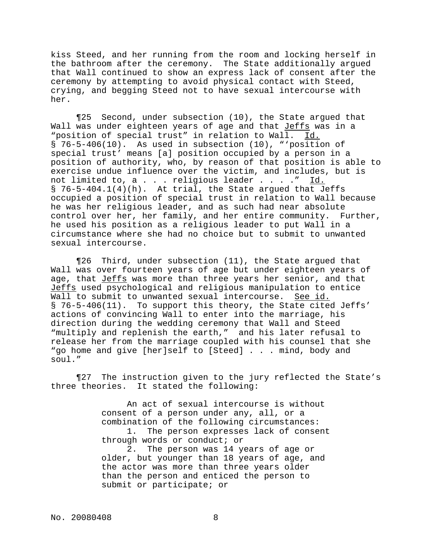kiss Steed, and her running from the room and locking herself in the bathroom after the ceremony. The State additionally argued that Wall continued to show an express lack of consent after the ceremony by attempting to avoid physical contact with Steed, crying, and begging Steed not to have sexual intercourse with her.

¶25 Second, under subsection (10), the State argued that Wall was under eighteen years of age and that Jeffs was in a "position of special trust" in relation to Wall. Id.  $\S$  76-5-406(10). As used in subsection (10), "'position of special trust' means [a] position occupied by a person in a position of authority, who, by reason of that position is able to exercise undue influence over the victim, and includes, but is not limited to, a . . . religious leader . . . ." Id. § 76-5-404.1(4)(h). At trial, the State argued that Jeffs occupied a position of special trust in relation to Wall because he was her religious leader, and as such had near absolute control over her, her family, and her entire community. Further, he used his position as a religious leader to put Wall in a circumstance where she had no choice but to submit to unwanted sexual intercourse.

¶26 Third, under subsection (11), the State argued that Wall was over fourteen years of age but under eighteen years of age, that Jeffs was more than three years her senior, and that Jeffs used psychological and religious manipulation to entice Wall to submit to unwanted sexual intercourse. See id. § 76-5-406(11). To support this theory, the State cited Jeffs' actions of convincing Wall to enter into the marriage, his direction during the wedding ceremony that Wall and Steed "multiply and replenish the earth," and his later refusal to release her from the marriage coupled with his counsel that she "go home and give [her]self to [Steed] . . . mind, body and soul."

¶27 The instruction given to the jury reflected the State's three theories. It stated the following:

> An act of sexual intercourse is without consent of a person under any, all, or a combination of the following circumstances: 1. The person expresses lack of consent through words or conduct; or 2. The person was 14 years of age or older, but younger than 18 years of age, and the actor was more than three years older than the person and enticed the person to

submit or participate; or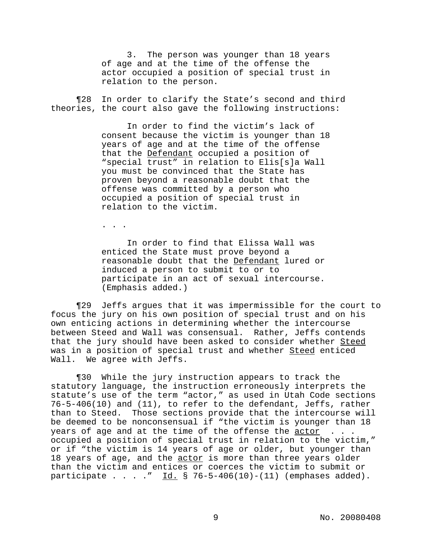3. The person was younger than 18 years of age and at the time of the offense the actor occupied a position of special trust in relation to the person.

¶28 In order to clarify the State's second and third theories, the court also gave the following instructions:

> In order to find the victim's lack of consent because the victim is younger than 18 years of age and at the time of the offense that the Defendant occupied a position of "special trust" in relation to Elis[s]a Wall you must be convinced that the State has proven beyond a reasonable doubt that the offense was committed by a person who occupied a position of special trust in relation to the victim.

. . .

In order to find that Elissa Wall was enticed the State must prove beyond a reasonable doubt that the Defendant lured or induced a person to submit to or to participate in an act of sexual intercourse. (Emphasis added.)

¶29 Jeffs argues that it was impermissible for the court to focus the jury on his own position of special trust and on his own enticing actions in determining whether the intercourse between Steed and Wall was consensual. Rather, Jeffs contends that the jury should have been asked to consider whether Steed was in a position of special trust and whether Steed enticed Wall. We agree with Jeffs.

¶30 While the jury instruction appears to track the statutory language, the instruction erroneously interprets the statute's use of the term "actor," as used in Utah Code sections 76-5-406(10) and (11), to refer to the defendant, Jeffs, rather than to Steed. Those sections provide that the intercourse will be deemed to be nonconsensual if "the victim is younger than 18 years of age and at the time of the offense the  $\frac{actor}{...}$ . occupied a position of special trust in relation to the victim," or if "the victim is 14 years of age or older, but younger than 18 years of age, and the actor is more than three years older than the victim and entices or coerces the victim to submit or participate . . . . "  $\underline{Id.}$  § 76-5-406(10)-(11) (emphases added).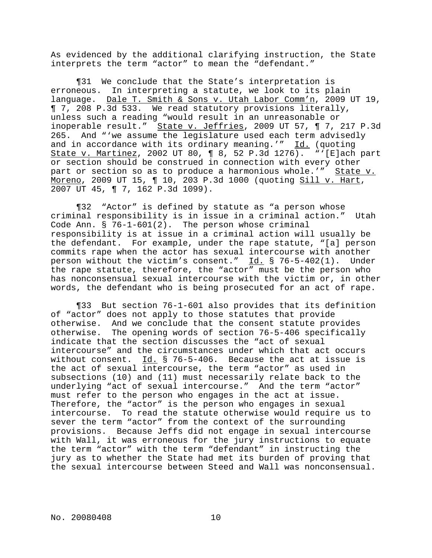As evidenced by the additional clarifying instruction, the State interprets the term "actor" to mean the "defendant."

¶31 We conclude that the State's interpretation is erroneous. In interpreting a statute, we look to its plain language. Dale T. Smith & Sons v. Utah Labor Comm'n, 2009 UT 19, ¶ 7, 208 P.3d 533. We read statutory provisions literally, unless such a reading "would result in an unreasonable or inoperable result." State v. Jeffries, 2009 UT 57, ¶ 7, 217 P.3d 265. And "'we assume the legislature used each term advisedly and in accordance with its ordinary meaning.'" Id. (quoting State v. Martinez, 2002 UT 80, ¶ 8, 52 P.3d 1276). "'[E]ach part or section should be construed in connection with every other part or section so as to produce a harmonious whole.'" State v. Moreno, 2009 UT 15, ¶ 10, 203 P.3d 1000 (quoting Sill v. Hart, 2007 UT 45, ¶ 7, 162 P.3d 1099).

¶32 "Actor" is defined by statute as "a person whose criminal responsibility is in issue in a criminal action." Utah Code Ann. § 76-1-601(2). The person whose criminal responsibility is at issue in a criminal action will usually be the defendant. For example, under the rape statute, "[a] person commits rape when the actor has sexual intercourse with another person without the victim's consent." Id. § 76-5-402(1). Under the rape statute, therefore, the "actor" must be the person who has nonconsensual sexual intercourse with the victim or, in other words, the defendant who is being prosecuted for an act of rape.

¶33 But section 76-1-601 also provides that its definition of "actor" does not apply to those statutes that provide otherwise. And we conclude that the consent statute provides otherwise. The opening words of section 76-5-406 specifically indicate that the section discusses the "act of sexual intercourse" and the circumstances under which that act occurs without consent. Id. § 76-5-406. Because the act at issue is the act of sexual intercourse, the term "actor" as used in subsections (10) and (11) must necessarily relate back to the underlying "act of sexual intercourse." And the term "actor" must refer to the person who engages in the act at issue. Therefore, the "actor" is the person who engages in sexual intercourse. To read the statute otherwise would require us to sever the term "actor" from the context of the surrounding provisions. Because Jeffs did not engage in sexual intercourse with Wall, it was erroneous for the jury instructions to equate the term "actor" with the term "defendant" in instructing the jury as to whether the State had met its burden of proving that the sexual intercourse between Steed and Wall was nonconsensual.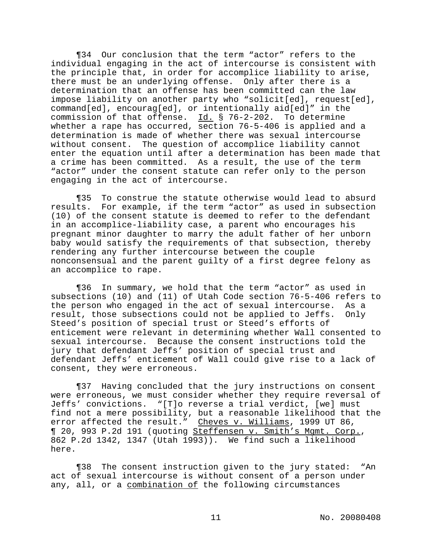¶34 Our conclusion that the term "actor" refers to the individual engaging in the act of intercourse is consistent with the principle that, in order for accomplice liability to arise, there must be an underlying offense. Only after there is a determination that an offense has been committed can the law impose liability on another party who "solicit[ed], request[ed], command[ed], encourag[ed], or intentionally aid[ed]" in the commission of that offense. Id. § 76-2-202. To determine whether a rape has occurred, section 76-5-406 is applied and a determination is made of whether there was sexual intercourse without consent. The question of accomplice liability cannot enter the equation until after a determination has been made that a crime has been committed. As a result, the use of the term "actor" under the consent statute can refer only to the person engaging in the act of intercourse.

¶35 To construe the statute otherwise would lead to absurd results. For example, if the term "actor" as used in subsection (10) of the consent statute is deemed to refer to the defendant in an accomplice-liability case, a parent who encourages his pregnant minor daughter to marry the adult father of her unborn baby would satisfy the requirements of that subsection, thereby rendering any further intercourse between the couple nonconsensual and the parent guilty of a first degree felony as an accomplice to rape.

¶36 In summary, we hold that the term "actor" as used in subsections (10) and (11) of Utah Code section 76-5-406 refers to the person who engaged in the act of sexual intercourse. As a result, those subsections could not be applied to Jeffs. Only Steed's position of special trust or Steed's efforts of enticement were relevant in determining whether Wall consented to sexual intercourse. Because the consent instructions told the jury that defendant Jeffs' position of special trust and defendant Jeffs' enticement of Wall could give rise to a lack of consent, they were erroneous.

¶37 Having concluded that the jury instructions on consent were erroneous, we must consider whether they require reversal of Jeffs' convictions. "[T]o reverse a trial verdict, [we] must find not a mere possibility, but a reasonable likelihood that the error affected the result." Cheves v. Williams, 1999 UT 86, ¶ 20, 993 P.2d 191 (quoting Steffensen v. Smith's Mgmt. Corp., 862 P.2d 1342, 1347 (Utah 1993)). We find such a likelihood here.

¶38 The consent instruction given to the jury stated: "An act of sexual intercourse is without consent of a person under any, all, or a combination of the following circumstances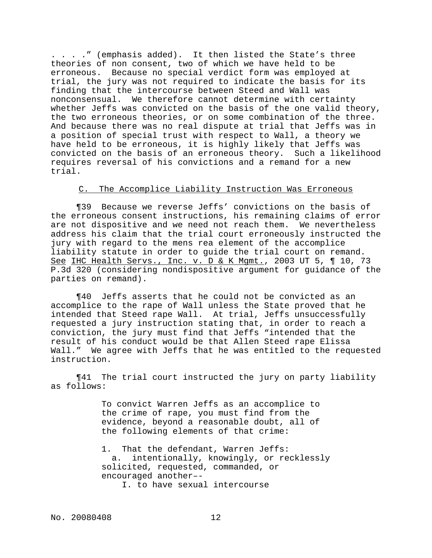. . . ." (emphasis added). It then listed the State's three theories of non consent, two of which we have held to be erroneous. Because no special verdict form was employed at trial, the jury was not required to indicate the basis for its finding that the intercourse between Steed and Wall was nonconsensual. We therefore cannot determine with certainty whether Jeffs was convicted on the basis of the one valid theory, the two erroneous theories, or on some combination of the three. And because there was no real dispute at trial that Jeffs was in a position of special trust with respect to Wall, a theory we have held to be erroneous, it is highly likely that Jeffs was convicted on the basis of an erroneous theory. Such a likelihood requires reversal of his convictions and a remand for a new trial.

# C. The Accomplice Liability Instruction Was Erroneous

¶39 Because we reverse Jeffs' convictions on the basis of the erroneous consent instructions, his remaining claims of error are not dispositive and we need not reach them. We nevertheless address his claim that the trial court erroneously instructed the jury with regard to the mens rea element of the accomplice liability statute in order to guide the trial court on remand. See IHC Health Servs., Inc. v. D & K Mgmt., 2003 UT 5, ¶ 10, 73 P.3d 320 (considering nondispositive argument for guidance of the parties on remand).

¶40 Jeffs asserts that he could not be convicted as an accomplice to the rape of Wall unless the State proved that he intended that Steed rape Wall. At trial, Jeffs unsuccessfully requested a jury instruction stating that, in order to reach a conviction, the jury must find that Jeffs "intended that the result of his conduct would be that Allen Steed rape Elissa Wall." We agree with Jeffs that he was entitled to the requested instruction.

¶41 The trial court instructed the jury on party liability as follows:

> To convict Warren Jeffs as an accomplice to the crime of rape, you must find from the evidence, beyond a reasonable doubt, all of the following elements of that crime:

1. That the defendant, Warren Jeffs: a. intentionally, knowingly, or recklessly solicited, requested, commanded, or encouraged another–- I. to have sexual intercourse

No. 20080408 12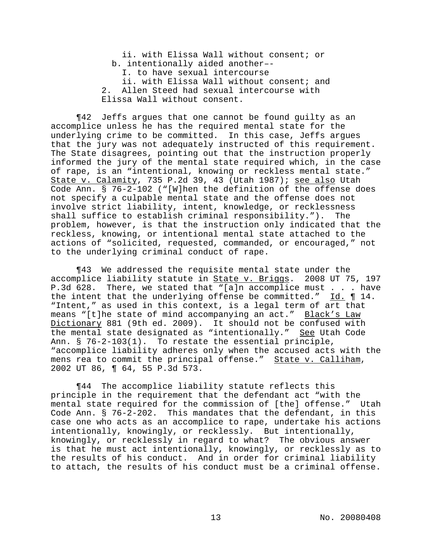ii. with Elissa Wall without consent; or b. intentionally aided another–- I. to have sexual intercourse ii. with Elissa Wall without consent; and 2. Allen Steed had sexual intercourse with Elissa Wall without consent.

¶42 Jeffs argues that one cannot be found guilty as an accomplice unless he has the required mental state for the underlying crime to be committed. In this case, Jeffs argues that the jury was not adequately instructed of this requirement. The State disagrees, pointing out that the instruction properly informed the jury of the mental state required which, in the case of rape, is an "intentional, knowing or reckless mental state." State v. Calamity, 735 P.2d 39, 43 (Utah 1987); see also Utah Code Ann. § 76-2-102 ("[W]hen the definition of the offense does not specify a culpable mental state and the offense does not involve strict liability, intent, knowledge, or recklessness shall suffice to establish criminal responsibility."). The problem, however, is that the instruction only indicated that the reckless, knowing, or intentional mental state attached to the actions of "solicited, requested, commanded, or encouraged," not to the underlying criminal conduct of rape.

¶43 We addressed the requisite mental state under the accomplice liability statute in **State v. Briggs**. 2008 UT 75, 197 P.3d 628. There, we stated that "[a]n accomplice must . . . have the intent that the underlying offense be committed." Id. ¶ 14. "Intent," as used in this context, is a legal term of art that means "[t]he state of mind accompanying an act." Black's Law Dictionary 881 (9th ed. 2009). It should not be confused with the mental state designated as "intentionally." See Utah Code Ann. § 76-2-103(1). To restate the essential principle, "accomplice liability adheres only when the accused acts with the mens rea to commit the principal offense." State v. Calliham, 2002 UT 86, ¶ 64, 55 P.3d 573.

¶44 The accomplice liability statute reflects this principle in the requirement that the defendant act "with the mental state required for the commission of [the] offense." Utah Code Ann. § 76-2-202. This mandates that the defendant, in this case one who acts as an accomplice to rape, undertake his actions intentionally, knowingly, or recklessly. But intentionally, knowingly, or recklessly in regard to what? The obvious answer is that he must act intentionally, knowingly, or recklessly as to the results of his conduct. And in order for criminal liability to attach, the results of his conduct must be a criminal offense.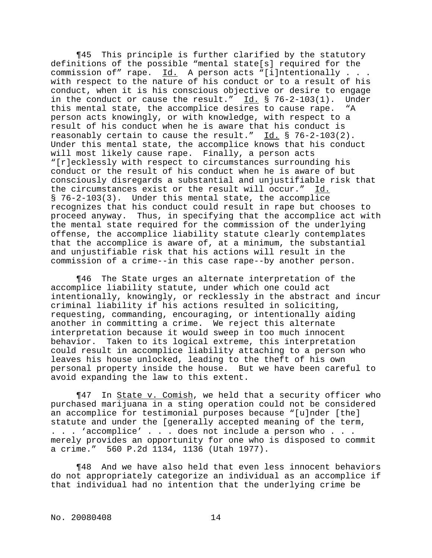¶45 This principle is further clarified by the statutory definitions of the possible "mental state[s] required for the commission of" rape.  $Id.$  A person acts "[i]ntentionally  $. . .$ with respect to the nature of his conduct or to a result of his conduct, when it is his conscious objective or desire to engage in the conduct or cause the result."  $\underline{Id.}$  § 76-2-103(1). Under this mental state, the accomplice desires to cause rape. "A person acts knowingly, or with knowledge, with respect to a result of his conduct when he is aware that his conduct is reasonably certain to cause the result." Id. § 76-2-103(2). Under this mental state, the accomplice knows that his conduct will most likely cause rape. Finally, a person acts "[r]ecklessly with respect to circumstances surrounding his conduct or the result of his conduct when he is aware of but consciously disregards a substantial and unjustifiable risk that the circumstances exist or the result will occur." Id. § 76-2-103(3). Under this mental state, the accomplice recognizes that his conduct could result in rape but chooses to proceed anyway. Thus, in specifying that the accomplice act with the mental state required for the commission of the underlying offense, the accomplice liability statute clearly contemplates that the accomplice is aware of, at a minimum, the substantial and unjustifiable risk that his actions will result in the commission of a crime--in this case rape--by another person.

¶46 The State urges an alternate interpretation of the accomplice liability statute, under which one could act intentionally, knowingly, or recklessly in the abstract and incur criminal liability if his actions resulted in soliciting, requesting, commanding, encouraging, or intentionally aiding another in committing a crime. We reject this alternate interpretation because it would sweep in too much innocent behavior. Taken to its logical extreme, this interpretation could result in accomplice liability attaching to a person who leaves his house unlocked, leading to the theft of his own personal property inside the house. But we have been careful to avoid expanding the law to this extent.

¶47 In State v. Comish, we held that a security officer who purchased marijuana in a sting operation could not be considered an accomplice for testimonial purposes because "[u]nder [the] statute and under the [generally accepted meaning of the term, . . . 'accomplice' . . . does not include a person who . . . merely provides an opportunity for one who is disposed to commit a crime." 560 P.2d 1134, 1136 (Utah 1977).

¶48 And we have also held that even less innocent behaviors do not appropriately categorize an individual as an accomplice if that individual had no intention that the underlying crime be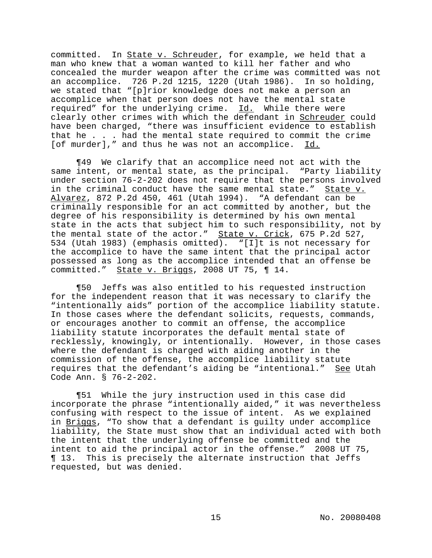committed. In State v. Schreuder, for example, we held that a man who knew that a woman wanted to kill her father and who concealed the murder weapon after the crime was committed was not an accomplice. 726 P.2d 1215, 1220 (Utah 1986). In so holding, we stated that "[p]rior knowledge does not make a person an accomplice when that person does not have the mental state required" for the underlying crime. Id. While there were clearly other crimes with which the defendant in Schreuder could have been charged, "there was insufficient evidence to establish that he . . . had the mental state required to commit the crime [of murder]," and thus he was not an accomplice. Id.

¶49 We clarify that an accomplice need not act with the same intent, or mental state, as the principal. "Party liability under section 76-2-202 does not require that the persons involved in the criminal conduct have the same mental state." State v. Alvarez, 872 P.2d 450, 461 (Utah 1994). "A defendant can be criminally responsible for an act committed by another, but the degree of his responsibility is determined by his own mental state in the acts that subject him to such responsibility, not by the mental state of the actor." State v. Crick, 675 P.2d 527, 534 (Utah 1983) (emphasis omitted). "[I]t is not necessary for the accomplice to have the same intent that the principal actor possessed as long as the accomplice intended that an offense be committed." State v. Briggs, 2008 UT 75, 1 14.

¶50 Jeffs was also entitled to his requested instruction for the independent reason that it was necessary to clarify the "intentionally aids" portion of the accomplice liability statute. In those cases where the defendant solicits, requests, commands, or encourages another to commit an offense, the accomplice liability statute incorporates the default mental state of recklessly, knowingly, or intentionally. However, in those cases where the defendant is charged with aiding another in the commission of the offense, the accomplice liability statute requires that the defendant's aiding be "intentional." See Utah Code Ann. § 76-2-202.

¶51 While the jury instruction used in this case did incorporate the phrase "intentionally aided," it was nevertheless confusing with respect to the issue of intent. As we explained in Briggs, "To show that a defendant is guilty under accomplice liability, the State must show that an individual acted with both the intent that the underlying offense be committed and the intent to aid the principal actor in the offense." 2008 UT 75, ¶ 13. This is precisely the alternate instruction that Jeffs requested, but was denied.